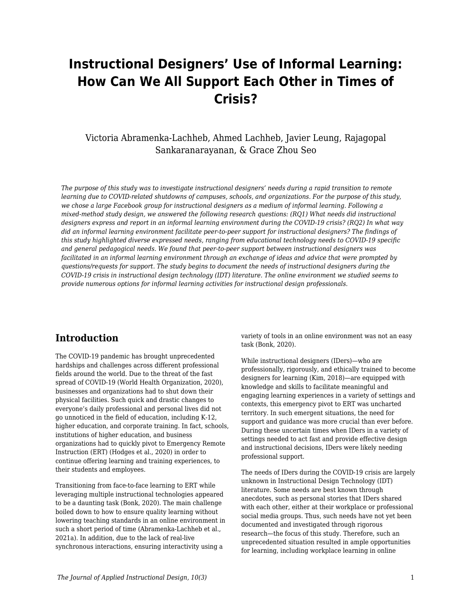# **Instructional Designers' Use of Informal Learning: How Can We All Support Each Other in Times of Crisis?**

## Victoria Abramenka-Lachheb, Ahmed Lachheb, Javier Leung, Rajagopal Sankaranarayanan, & Grace Zhou Seo

*The purpose of this study was to investigate instructional designers' needs during a rapid transition to remote learning due to COVID-related shutdowns of campuses, schools, and organizations. For the purpose of this study, we chose a large Facebook group for instructional designers as a medium of informal learning. Following a mixed-method study design, we answered the following research questions: (RQ1) What needs did instructional designers express and report in an informal learning environment during the COVID-19 crisis? (RQ2) In what way did an informal learning environment facilitate peer-to-peer support for instructional designers? The findings of this study highlighted diverse expressed needs, ranging from educational technology needs to COVID-19 specific and general pedagogical needs. We found that peer-to-peer support between instructional designers was facilitated in an informal learning environment through an exchange of ideas and advice that were prompted by questions/requests for support. The study begins to document the needs of instructional designers during the COVID-19 crisis in instructional design technology (IDT) literature. The online environment we studied seems to provide numerous options for informal learning activities for instructional design professionals.*

## **Introduction**

The COVID-19 pandemic has brought unprecedented hardships and challenges across different professional fields around the world. Due to the threat of the fast spread of COVID-19 (World Health Organization, 2020), businesses and organizations had to shut down their physical facilities. Such quick and drastic changes to everyone's daily professional and personal lives did not go unnoticed in the field of education, including K-12, higher education, and corporate training. In fact, schools, institutions of higher education, and business organizations had to quickly pivot to Emergency Remote Instruction (ERT) (Hodges et al., 2020) in order to continue offering learning and training experiences, to their students and employees.

Transitioning from face-to-face learning to ERT while leveraging multiple instructional technologies appeared to be a daunting task (Bonk, 2020). The main challenge boiled down to how to ensure quality learning without lowering teaching standards in an online environment in such a short period of time (Abramenka-Lachheb et al., 2021a). In addition, due to the lack of real-live synchronous interactions, ensuring interactivity using a

variety of tools in an online environment was not an easy task (Bonk, 2020).

While instructional designers (IDers)—who are professionally, rigorously, and ethically trained to become designers for learning (Kim, 2018)—are equipped with knowledge and skills to facilitate meaningful and engaging learning experiences in a variety of settings and contexts, this emergency pivot to ERT was uncharted territory. In such emergent situations, the need for support and guidance was more crucial than ever before. During these uncertain times when IDers in a variety of settings needed to act fast and provide effective design and instructional decisions, IDers were likely needing professional support.

The needs of IDers during the COVID-19 crisis are largely unknown in Instructional Design Technology (IDT) literature. Some needs are best known through anecdotes, such as personal stories that IDers shared with each other, either at their workplace or professional social media groups. Thus, such needs have not yet been documented and investigated through rigorous research—the focus of this study. Therefore, such an unprecedented situation resulted in ample opportunities for learning, including workplace learning in online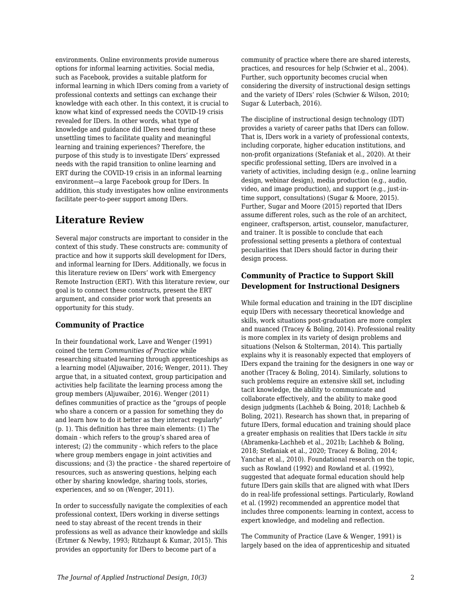environments. Online environments provide numerous options for informal learning activities. Social media, such as Facebook, provides a suitable platform for informal learning in which IDers coming from a variety of professional contexts and settings can exchange their knowledge with each other. In this context, it is crucial to know what kind of expressed needs the COVID-19 crisis revealed for IDers. In other words, what type of knowledge and guidance did IDers need during these unsettling times to facilitate quality and meaningful learning and training experiences? Therefore, the purpose of this study is to investigate IDers' expressed needs with the rapid transition to online learning and ERT during the COVID-19 crisis in an informal learning environment—a large Facebook group for IDers. In addition, this study investigates how online environments facilitate peer-to-peer support among IDers.

## **Literature Review**

Several major constructs are important to consider in the context of this study. These constructs are: community of practice and how it supports skill development for IDers, and informal learning for IDers. Additionally, we focus in this literature review on IDers' work with Emergency Remote Instruction (ERT). With this literature review, our goal is to connect these constructs, present the ERT argument, and consider prior work that presents an opportunity for this study.

### **Community of Practice**

In their foundational work, Lave and Wenger (1991) coined the term *Communities of Practice* while researching situated learning through apprenticeships as a learning model (Aljuwaiber, 2016; Wenger, 2011). They argue that, in a situated context, group participation and activities help facilitate the learning process among the group members (Aljuwaiber, 2016). Wenger (2011) defines communities of practice as the "groups of people who share a concern or a passion for something they do and learn how to do it better as they interact regularly" (p. 1). This definition has three main elements: (1) The domain - which refers to the group's shared area of interest; (2) the community - which refers to the place where group members engage in joint activities and discussions; and (3) the practice - the shared repertoire of resources, such as answering questions, helping each other by sharing knowledge, sharing tools, stories, experiences, and so on (Wenger, 2011).

In order to successfully navigate the complexities of each professional context, IDers working in diverse settings need to stay abreast of the recent trends in their professions as well as advance their knowledge and skills (Ertmer & Newby, 1993; Ritzhaupt & Kumar, 2015). This provides an opportunity for IDers to become part of a

community of practice where there are shared interests, practices, and resources for help (Schwier et al., 2004). Further, such opportunity becomes crucial when considering the diversity of instructional design settings and the variety of IDers' roles (Schwier & Wilson, 2010; Sugar & Luterbach, 2016).

The discipline of instructional design technology (IDT) provides a variety of career paths that IDers can follow. That is, IDers work in a variety of professional contexts, including corporate, higher education institutions, and non-profit organizations (Stefaniak et al., 2020). At their specific professional setting, IDers are involved in a variety of activities, including design (e.g., online learning design, webinar design), media production (e.g., audio, video, and image production), and support (e.g., just-intime support, consultations) (Sugar & Moore, 2015). Further, Sugar and Moore (2015) reported that IDers assume different roles, such as the role of an architect, engineer, craftsperson, artist, counselor, manufacturer, and trainer. It is possible to conclude that each professional setting presents a plethora of contextual peculiarities that IDers should factor in during their design process.

## **Community of Practice to Support Skill Development for Instructional Designers**

While formal education and training in the IDT discipline equip IDers with necessary theoretical knowledge and skills, work situations post-graduation are more complex and nuanced (Tracey & Boling, 2014). Professional reality is more complex in its variety of design problems and situations (Nelson & Stolterman, 2014). This partially explains why it is reasonably expected that employers of IDers expand the training for the designers in one way or another (Tracey & Boling, 2014). Similarly, solutions to such problems require an extensive skill set, including tacit knowledge, the ability to communicate and collaborate effectively, and the ability to make good design judgments (Lachheb & Boing, 2018; Lachheb & Boling, 2021). Research has shown that, in preparing of future IDers, formal education and training should place a greater emphasis on realities that IDers tackle *in situ* (Abramenka-Lachheb et al., 2021b; Lachheb & Boling, 2018; Stefaniak et al., 2020; Tracey & Boling, 2014; Yanchar et al., 2010). Foundational research on the topic, such as Rowland (1992) and Rowland et al. (1992), suggested that adequate formal education should help future IDers gain skills that are aligned with what IDers do in real-life professional settings. Particularly, Rowland et al. (1992) recommended an apprentice model that includes three components: learning in context, access to expert knowledge, and modeling and reflection.

The Community of Practice (Lave & Wenger, 1991) is largely based on the idea of apprenticeship and situated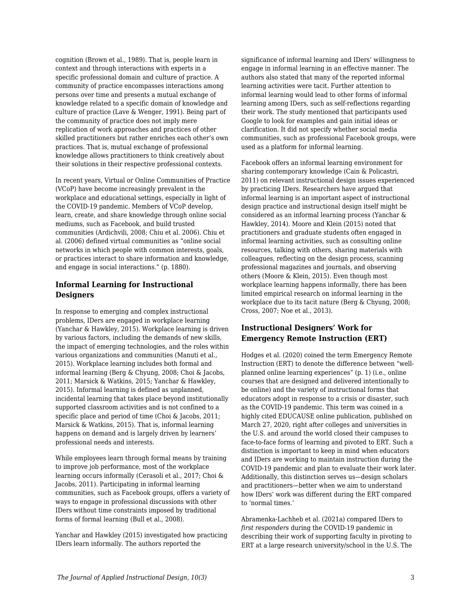cognition (Brown et al., 1989). That is, people learn in context and through interactions with experts in a specific professional domain and culture of practice. A community of practice encompasses interactions among persons over time and presents a mutual exchange of knowledge related to a specific domain of knowledge and culture of practice (Lave & Wenger, 1991). Being part of the community of practice does not imply mere replication of work approaches and practices of other skilled practitioners but rather enriches each other's own practices. That is, mutual exchange of professional knowledge allows practitioners to think creatively about their solutions in their respective professional contexts.

In recent years, Virtual or Online Communities of Practice (VCoP) have become increasingly prevalent in the workplace and educational settings, especially in light of the COVID-19 pandemic. Members of VCoP develop, learn, create, and share knowledge through online social mediums, such as Facebook, and build trusted communities (Ardichvili, 2008; Chiu et al. 2006). Chiu et al. (2006) defined virtual communities as "online social networks in which people with common interests, goals, or practices interact to share information and knowledge, and engage in social interactions." (p. 1880).

## **Informal Learning for Instructional Designers**

In response to emerging and complex instructional problems, IDers are engaged in workplace learning (Yanchar & Hawkley, 2015). Workplace learning is driven by various factors, including the demands of new skills, the impact of emerging technologies, and the roles within various organizations and communities (Manuti et al., 2015). Workplace learning includes both formal and informal learning (Berg & Chyung, 2008; Choi & Jacobs, 2011; Marsick & Watkins, 2015; Yanchar & Hawkley, 2015). Informal learning is defined as unplanned, incidental learning that takes place beyond institutionally supported classroom activities and is not confined to a specific place and period of time (Choi & Jacobs, 2011; Marsick & Watkins, 2015). That is, informal learning happens on demand and is largely driven by learners' professional needs and interests.

While employees learn through formal means by training to improve job performance, most of the workplace learning occurs informally (Cerasoli et al., 2017; Choi & Jacobs, 2011). Participating in informal learning communities, such as Facebook groups, offers a variety of ways to engage in professional discussions with other IDers without time constraints imposed by traditional forms of formal learning (Bull et al., 2008).

Yanchar and Hawkley (2015) investigated how practicing IDers learn informally. The authors reported the

significance of informal learning and IDers' willingness to engage in informal learning in an effective manner. The authors also stated that many of the reported informal learning activities were tacit. Further attention to informal learning would lead to other forms of informal learning among IDers, such as self-reflections regarding their work. The study mentioned that participants used Google to look for examples and gain initial ideas or clarification. It did not specify whether social media communities, such as professional Facebook groups, were used as a platform for informal learning.

Facebook offers an informal learning environment for sharing contemporary knowledge (Cain & Policastri, 2011) on relevant instructional design issues experienced by practicing IDers. Researchers have argued that informal learning is an important aspect of instructional design practice and instructional design itself might be considered as an informal learning process (Yanchar & Hawkley, 2014). Moore and Klein (2015) noted that practitioners and graduate students often engaged in informal learning activities, such as consulting online resources, talking with others, sharing materials with colleagues, reflecting on the design process, scanning professional magazines and journals, and observing others (Moore & Klein, 2015). Even though most workplace learning happens informally, there has been limited empirical research on informal learning in the workplace due to its tacit nature (Berg & Chyung, 2008; Cross, 2007; Noe et al., 2013).

### **Instructional Designers' Work for Emergency Remote Instruction (ERT)**

Hodges et al. (2020) coined the term Emergency Remote Instruction (ERT) to denote the difference between "wellplanned online learning experiences" (p. 1) (i.e., online courses that are designed and delivered intentionally to be online) and the variety of instructional forms that educators adopt in response to a crisis or disaster, such as the COVID-19 pandemic. This term was coined in a highly cited EDUCAUSE online publication, published on March 27, 2020, right after colleges and universities in the U.S. and around the world closed their campuses to face-to-face forms of learning and pivoted to ERT. Such a distinction is important to keep in mind when educators and IDers are working to maintain instruction during the COVID-19 pandemic and plan to evaluate their work later. Additionally, this distinction serves us—design scholars and practitioners—better when we aim to understand how IDers' work was different during the ERT compared to 'normal times.'

Abramenka-Lachheb et al. (2021a) compared IDers to *first responders* during the COVID-19 pandemic in describing their work of supporting faculty in pivoting to ERT at a large research university/school in the U.S. The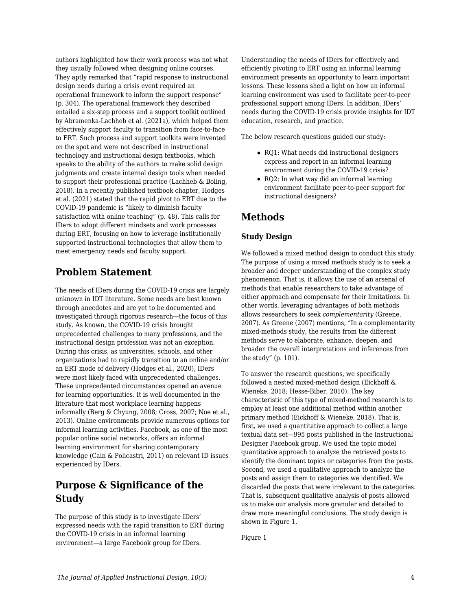authors highlighted how their work process was not what they usually followed when designing online courses. They aptly remarked that "rapid response to instructional design needs during a crisis event required an operational framework to inform the support response" (p. 304). The operational framework they described entailed a six-step process and a support toolkit outlined by Abramenka-Lachheb et al. (2021a), which helped them effectively support faculty to transition from face-to-face to ERT. Such process and support toolkits were invented on the spot and were not described in instructional technology and instructional design textbooks, which speaks to the ability of the authors to make solid design judgments and create internal design tools when needed to support their professional practice (Lachheb & Boling, 2018). In a recently published textbook chapter, Hodges et al. (2021) stated that the rapid pivot to ERT due to the COVID-19 pandemic is "likely to diminish faculty satisfaction with online teaching" (p. 48). This calls for IDers to adopt different mindsets and work processes during ERT, focusing on how to leverage institutionally supported instructional technologies that allow them to meet emergency needs and faculty support.

## **Problem Statement**

The needs of IDers during the COVID-19 crisis are largely unknown in IDT literature. Some needs are best known through anecdotes and are yet to be documented and investigated through rigorous research—the focus of this study. As known, the COVID-19 crisis brought unprecedented challenges to many professions, and the instructional design profession was not an exception. During this crisis, as universities, schools, and other organizations had to rapidly transition to an online and/or an ERT mode of delivery (Hodges et al., 2020), IDers were most likely faced with unprecedented challenges. These unprecedented circumstances opened an avenue for learning opportunities. It is well documented in the literature that most workplace learning happens informally (Berg & Chyung, 2008; Cross, 2007; Noe et al., 2013). Online environments provide numerous options for informal learning activities. Facebook, as one of the most popular online social networks, offers an informal learning environment for sharing contemporary knowledge (Cain & Policastri, 2011) on relevant ID issues experienced by IDers.

## **Purpose & Significance of the Study**

The purpose of this study is to investigate IDers' expressed needs with the rapid transition to ERT during the COVID-19 crisis in an informal learning environment—a large Facebook group for IDers.

Understanding the needs of IDers for effectively and efficiently pivoting to ERT using an informal learning environment presents an opportunity to learn important lessons. These lessons shed a light on how an informal learning environment was used to facilitate peer-to-peer professional support among IDers. In addition, IDers' needs during the COVID-19 crisis provide insights for IDT education, research, and practice.

The below research questions guided our study:

- RQ1: What needs did instructional designers express and report in an informal learning environment during the COVID-19 crisis?
- RQ2: In what way did an informal learning environment facilitate peer-to-peer support for instructional designers?

## **Methods**

### **Study Design**

We followed a mixed method design to conduct this study. The purpose of using a mixed methods study is to seek a broader and deeper understanding of the complex study phenomenon. That is, it allows the use of an arsenal of methods that enable researchers to take advantage of either approach and compensate for their limitations. In other words, leveraging advantages of both methods allows researchers to seek *complementarity* (Greene, 2007). As Greene (2007) mentions, "In a complementarity mixed-methods study, the results from the different methods serve to elaborate, enhance, deepen, and broaden the overall interpretations and inferences from the study" (p. 101).

To answer the research questions, we specifically followed a nested mixed-method design (Eickhoff & Wieneke, 2018; Hesse-Biber, 2010). The key characteristic of this type of mixed-method research is to employ at least one additional method within another primary method (Eickhoff & Wieneke, 2018). That is, first, we used a quantitative approach to collect a large textual data set—995 posts published in the Instructional Designer Facebook group. We used the topic model quantitative approach to analyze the retrieved posts to identify the dominant topics or categories from the posts. Second, we used a qualitative approach to analyze the posts and assign them to categories we identified. We discarded the posts that were irrelevant to the categories. That is, subsequent qualitative analysis of posts allowed us to make our analysis more granular and detailed to draw more meaningful conclusions. The study design is shown in Figure 1.

Figure 1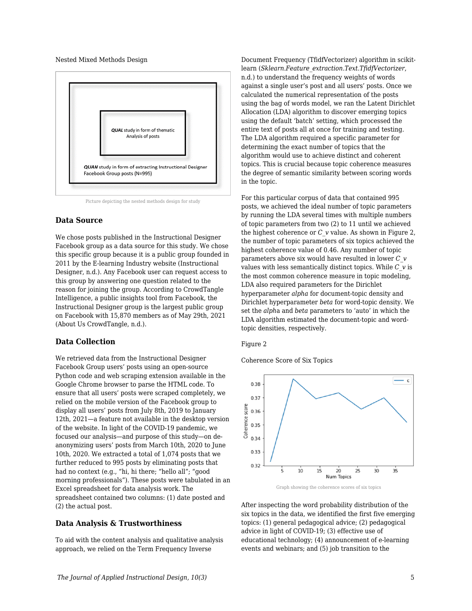Nested Mixed Methods Design



Picture depicting the nested methods design for study

### **Data Source**

We chose posts published in the Instructional Designer Facebook group as a data source for this study. We chose this specific group because it is a public group founded in 2011 by the E-learning Industry website (Instructional Designer, n.d.). Any Facebook user can request access to this group by answering one question related to the reason for joining the group. According to CrowdTangle Intelligence, a public insights tool from Facebook, the Instructional Designer group is the largest public group on Facebook with 15,870 members as of May 29th, 2021 (About Us CrowdTangle, n.d.).

### **Data Collection**

We retrieved data from the Instructional Designer Facebook Group users' posts using an open-source Python code and web scraping extension available in the Google Chrome browser to parse the HTML code. To ensure that all users' posts were scraped completely, we relied on the mobile version of the Facebook group to display all users' posts from July 8th, 2019 to January 12th, 2021—a feature not available in the desktop version of the website. In light of the COVID-19 pandemic, we focused our analysis—and purpose of this study—on deanonymizing users' posts from March 10th, 2020 to June 10th, 2020. We extracted a total of 1,074 posts that we further reduced to 995 posts by eliminating posts that had no context (e.g., "hi, hi there; "hello all"; "good morning professionals"). These posts were tabulated in an Excel spreadsheet for data analysis work. The spreadsheet contained two columns: (1) date posted and (2) the actual post.

### **Data Analysis & Trustworthiness**

To aid with the content analysis and qualitative analysis approach, we relied on the Term Frequency Inverse

Document Frequency (TfidfVectorizer) algorithm in scikitlearn (*Sklearn.Feature\_extraction.Text.TfidfVectorizer*, n.d.) to understand the frequency weights of words against a single user's post and all users' posts. Once we calculated the numerical representation of the posts using the bag of words model, we ran the Latent Dirichlet Allocation (LDA) algorithm to discover emerging topics using the default 'batch' setting, which processed the entire text of posts all at once for training and testing. The LDA algorithm required a specific parameter for determining the exact number of topics that the algorithm would use to achieve distinct and coherent topics. This is crucial because topic coherence measures the degree of semantic similarity between scoring words in the topic.

For this particular corpus of data that contained 995 posts, we achieved the ideal number of topic parameters by running the LDA several times with multiple numbers of topic parameters from two (2) to 11 until we achieved the highest coherence or *C\_v* value. As shown in Figure 2, the number of topic parameters of six topics achieved the highest coherence value of 0.46. Any number of topic parameters above six would have resulted in lower *C\_v* values with less semantically distinct topics. While *C\_v* is the most common coherence measure in topic modeling, LDA also required parameters for the Dirichlet hyperparameter *alpha* for document-topic density and Dirichlet hyperparameter *beta* for word-topic density. We set the *alph*a and *beta* parameters to 'auto' in which the LDA algorithm estimated the document-topic and wordtopic densities, respectively.

#### Figure 2

Coherence Score of Six Topics



Graph showing the coherence scores of six topics

After inspecting the word probability distribution of the six topics in the data, we identified the first five emerging topics: (1) general pedagogical advice; (2) pedagogical advice in light of COVID-19; (3) effective use of educational technology; (4) announcement of e-learning events and webinars; and (5) job transition to the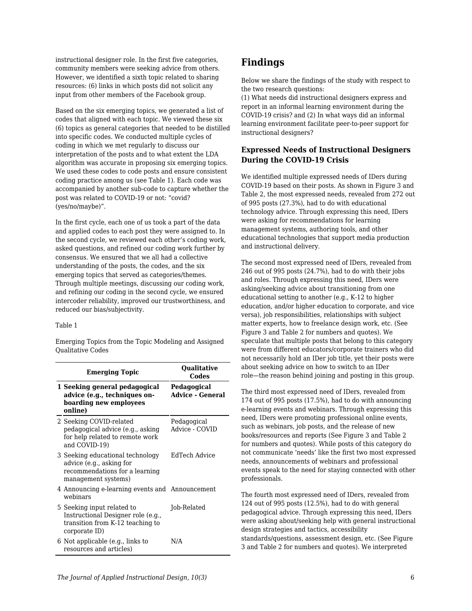instructional designer role. In the first five categories, community members were seeking advice from others. However, we identified a sixth topic related to sharing resources: (6) links in which posts did not solicit any input from other members of the Facebook group.

Based on the six emerging topics, we generated a list of codes that aligned with each topic. We viewed these six (6) topics as general categories that needed to be distilled into specific codes. We conducted multiple cycles of coding in which we met regularly to discuss our interpretation of the posts and to what extent the LDA algorithm was accurate in proposing six emerging topics. We used these codes to code posts and ensure consistent coding practice among us (see Table 1). Each code was accompanied by another sub-code to capture whether the post was related to COVID-19 or not: "covid? (yes/no/maybe)".

In the first cycle, each one of us took a part of the data and applied codes to each post they were assigned to. In the second cycle, we reviewed each other's coding work, asked questions, and refined our coding work further by consensus. We ensured that we all had a collective understanding of the posts, the codes, and the six emerging topics that served as categories/themes. Through multiple meetings, discussing our coding work, and refining our coding in the second cycle, we ensured intercoder reliability, improved our trustworthiness, and reduced our bias/subjectivity.

#### Table 1

Emerging Topics from the Topic Modeling and Assigned Qualitative Codes

| <b>Emerging Topic</b>                                                                                                 | <b>Qualitative</b><br>Codes            |  |
|-----------------------------------------------------------------------------------------------------------------------|----------------------------------------|--|
| 1 Seeking general pedagogical<br>advice (e.g., techniques on-<br>boarding new employees<br>online)                    | Pedagogical<br><b>Advice - General</b> |  |
| 2 Seeking COVID-related<br>pedagogical advice (e.g., asking<br>for help related to remote work<br>and COVID-19)       | Pedagogical<br>Advice - COVID          |  |
| 3 Seeking educational technology<br>advice (e.g., asking for<br>recommendations for a learning<br>management systems) | EdTech Advice                          |  |
| 4 Announcing e-learning events and Announcement<br>webinars                                                           |                                        |  |
| 5 Seeking input related to<br>Instructional Designer role (e.g.,<br>transition from K-12 teaching to<br>corporate ID) | Job-Related                            |  |
| 6 Not applicable (e.g., links to<br>resources and articles)                                                           | N/A                                    |  |

## **Findings**

Below we share the findings of the study with respect to the two research questions:

(1) What needs did instructional designers express and report in an informal learning environment during the COVID-19 crisis? and (2) In what ways did an informal learning environment facilitate peer-to-peer support for instructional designers?

### **Expressed Needs of Instructional Designers During the COVID-19 Crisis**

We identified multiple expressed needs of IDers during COVID-19 based on their posts. As shown in Figure 3 and Table 2, the most expressed needs, revealed from 272 out of 995 posts (27.3%), had to do with educational technology advice. Through expressing this need, IDers were asking for recommendations for learning management systems, authoring tools, and other educational technologies that support media production and instructional delivery.

The second most expressed need of IDers, revealed from 246 out of 995 posts (24.7%), had to do with their jobs and roles. Through expressing this need, IDers were asking/seeking advice about transitioning from one educational setting to another (e.g., K-12 to higher education, and/or higher education to corporate, and vice versa), job responsibilities, relationships with subject matter experts, how to freelance design work, etc. (See Figure 3 and Table 2 for numbers and quotes). We speculate that multiple posts that belong to this category were from different educators/corporate trainers who did not necessarily hold an IDer job title, yet their posts were about seeking advice on how to switch to an IDer role—the reason behind joining and posting in this group.

The third most expressed need of IDers, revealed from 174 out of 995 posts (17.5%), had to do with announcing e-learning events and webinars. Through expressing this need, IDers were promoting professional online events, such as webinars, job posts, and the release of new books/resources and reports (See Figure 3 and Table 2 for numbers and quotes). While posts of this category do not communicate 'needs' like the first two most expressed needs, announcements of webinars and professional events speak to the need for staying connected with other professionals.

The fourth most expressed need of IDers, revealed from 124 out of 995 posts (12.5%), had to do with general pedagogical advice. Through expressing this need, IDers were asking about/seeking help with general instructional design strategies and tactics, accessibility standards/questions, assessment design, etc. (See Figure 3 and Table 2 for numbers and quotes). We interpreted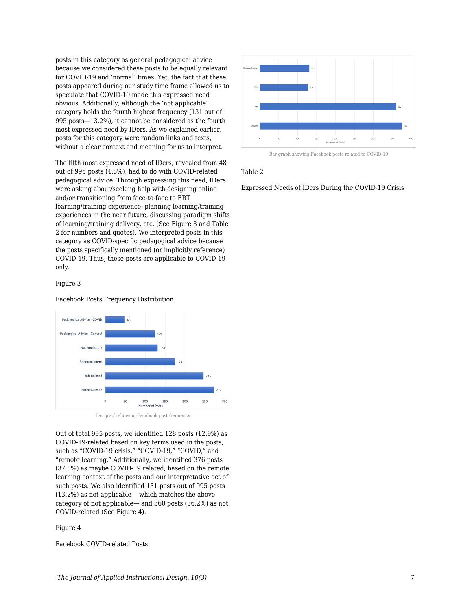posts in this category as general pedagogical advice because we considered these posts to be equally relevant for COVID-19 and 'normal' times. Yet, the fact that these posts appeared during our study time frame allowed us to speculate that COVID-19 made this expressed need obvious. Additionally, although the 'not applicable' category holds the fourth highest frequency (131 out of 995 posts—13.2%), it cannot be considered as the fourth most expressed need by IDers. As we explained earlier, posts for this category were random links and texts, without a clear context and meaning for us to interpret.

The fifth most expressed need of IDers, revealed from 48 out of 995 posts (4.8%), had to do with COVID-related pedagogical advice. Through expressing this need, IDers were asking about/seeking help with designing online and/or transitioning from face-to-face to ERT learning/training experience, planning learning/training experiences in the near future, discussing paradigm shifts of learning/training delivery, etc. (See Figure 3 and Table 2 for numbers and quotes). We interpreted posts in this category as COVID-specific pedagogical advice because the posts specifically mentioned (or implicitly reference) COVID-19. Thus, these posts are applicable to COVID-19 only.

#### Figure 3

Facebook Posts Frequency Distribution



Bar graph showing Facebook post frequency

Out of total 995 posts, we identified 128 posts (12.9%) as COVID-19-related based on key terms used in the posts, such as "COVID-19 crisis," "COVID-19," "COVID," and "remote learning." Additionally, we identified 376 posts (37.8%) as maybe COVID-19 related, based on the remote learning context of the posts and our interpretative act of such posts. We also identified 131 posts out of 995 posts (13.2%) as not applicable— which matches the above category of not applicable— and 360 posts (36.2%) as not COVID-related (See Figure 4).

Figure 4

Facebook COVID-related Posts



Bar graph showing Facebook posts related to COVID-19

#### Table 2

Expressed Needs of IDers During the COVID-19 Crisis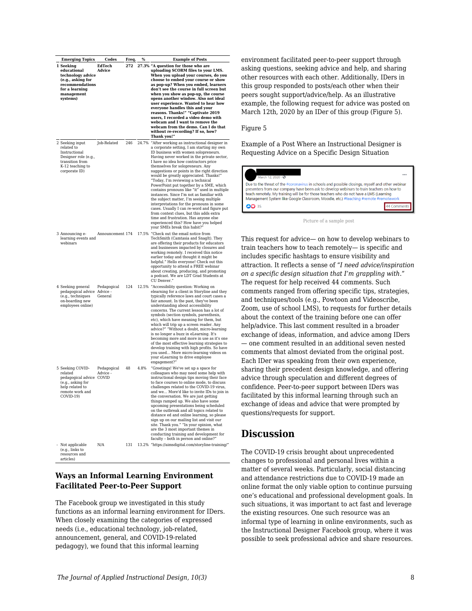| <b>Emerging Topics</b>                                                                                                            | Codes                  |              | %    | <b>Example of Posts</b>                                                                                                                                                                                                                                                                                                                                                                                                                                                                                                                                                                                                                                                                                                                                                                                                                    |
|-----------------------------------------------------------------------------------------------------------------------------------|------------------------|--------------|------|--------------------------------------------------------------------------------------------------------------------------------------------------------------------------------------------------------------------------------------------------------------------------------------------------------------------------------------------------------------------------------------------------------------------------------------------------------------------------------------------------------------------------------------------------------------------------------------------------------------------------------------------------------------------------------------------------------------------------------------------------------------------------------------------------------------------------------------------|
| 1 Seeking<br>educational<br>technology advice<br>(e.g., asking for<br>recommendations<br>for a learning<br>management<br>systems) | EdTech<br>Advice       | Freq.<br>272 |      | 27.3% "A question for those who are<br>uploading SCORM files to your LMS.<br>When you upload your courses, do you<br>choose to embed your course or show<br>as pop-up? When you embed, learners<br>don't see the course in full screen but<br>when you show as pop-up, the course<br>opens another window. Also not ideal<br>user experience. Wanted to hear how<br>everyone handles this and your<br>reasons. Thanks!" "Captivate 2019<br>users, I recorded a video demo with<br>webcam and I want to remove the<br>webcam from the demo. Can I do that<br>without re-recording? If so, how?<br>Thank you!"                                                                                                                                                                                                                               |
| 2 Seeking input<br>related to<br>Instructional<br>Designer role (e.g.,<br>transition from<br>K-12 teaching to<br>corporate ID)    | Job-Related            | 246          |      | 24.7% "After working as instructional designer in<br>a corporate setting, I am starting my own<br>ID business with women solopreneurs.<br>Having never worked in the private sector,<br>I have no idea how contractors price<br>themselves for solopreneurs. Any<br>suggestions or points in the right direction<br>would be greatly appreciated. Thanks!"<br>"Today, I'm reviewing a technical<br>PowerPoint put together by a SME, which<br>contains pronouns like "it" used in multiple<br>instances. Since I'm not as familiar with<br>the subject matter, I'm seeing multiple<br>interpretations for the pronouns in some<br>cases. Usually I can re-word and figure put<br>from context clues, but this adds extra<br>time and frustration. Has anyone else<br>experienced this? How have you helped<br>your SMEs break this habit?' |
| 3 Announcing e-<br>learning events and<br>webinars                                                                                | Announcement 174       |              |      | 17.5% "Check out the email notice from<br>TechSmith (Camtasia and SnagIt). They<br>are offering their products for educators<br>and businesses impacted by closures and<br>working remotely. I received this notice<br>earlier today and thought it might be<br>helpful." Hello everyone! Check out this<br>opportunity to attend a FREE webinar<br>about creating, producing, and promoting<br>a podcast. We are LDT Grad Students at<br>CU Denver.'                                                                                                                                                                                                                                                                                                                                                                                      |
| 4 Seeking general<br>pedagogical advice Advice -<br>(e.g., techniques<br>on-boarding new<br>employees online)                     | Pedagogical<br>General | 124          |      | 12.5% "Accessibility question: Working on<br>elearning for a client in Storyline and they<br>typically reference laws and court cases a<br>fair amount. In the past, they've been<br>understanding about accessibility<br>concerns. The current lesson has a lot of<br>symbols (section symbols, parenthesis,<br>etc), which have meaning for them, but<br>which will trip up a screen reader. Any<br>advice?" "Without a doubt, micro-learning<br>is no longer a buzz in eLearning. It's<br>becoming more and more in use as it's one<br>of the most effective learning strategies to<br>develop training with high profits. So have<br>you used More micro-learning videos on<br>your eLearning to drive employee<br>engagement?"                                                                                                        |
| 5 Seeking COVID-<br>related<br>pedagogical advice COVID<br>(e.g., asking for<br>help related to<br>remote work and<br>COVID-19)   | Pedagogical<br>Advice  | 48           | 4.8% | "Greetings! We've set up a space for<br>colleagues who may need some help with<br>instructional design tips moving their face<br>to face courses to online mode, to discuss<br>challenges related to the COVID-19 virus,<br>and we More'd like to invite IDs to join in<br>the conversation. We are just getting<br>things ramped up. We also have some<br>upcoming presentations being scheduled<br>on the outbreak and all topics related to<br>distance ed and online learning, so please<br>sign up on our mailing list and visit our<br>site. Thank you." "In your opinion, what<br>are the 3 most important themes in<br>conducting training and development for<br>faculty - both in person and online?"                                                                                                                            |
| - Not applicable<br>(e.g., links to<br>resources and<br>articles)                                                                 | N/A                    | 131          |      | 13.2% "https://aimsdigital.com/storyline-training/"                                                                                                                                                                                                                                                                                                                                                                                                                                                                                                                                                                                                                                                                                                                                                                                        |

### **Ways an Informal Learning Environment Facilitated Peer-to-Peer Support**

The Facebook group we investigated in this study functions as an informal learning environment for IDers. When closely examining the categories of expressed needs (i.e., educational technology, job-related, announcement, general, and COVID-19-related pedagogy), we found that this informal learning

environment facilitated peer-to-peer support through asking questions, seeking advice and help, and sharing other resources with each other. Additionally, IDers in this group responded to posts/each other when their peers sought support/advice/help. As an illustrative example, the following request for advice was posted on March 12th, 2020 by an IDer of this group (Figure 5).

#### Figure 5

Example of a Post Where an Instructional Designer is Requesting Advice on a Specific Design Situation

| March 12, 2020 · @                                                                                                                                                                                                                                                                                                                                                              |  |  |  |
|---------------------------------------------------------------------------------------------------------------------------------------------------------------------------------------------------------------------------------------------------------------------------------------------------------------------------------------------------------------------------------|--|--|--|
| Due to the threat of the #coronavirus in schools and possible closings, myself and other webinar<br>presenters from our company have been ask to develop webinars to train teachers on how to<br>teach remotely. My training will be for those teachers who do not have a LMS (Learning<br>Management System like Google Classroom, Moodle, etc.) #teaching #remote #remotework |  |  |  |
| <b>DD</b> 35                                                                                                                                                                                                                                                                                                                                                                    |  |  |  |

Picture of a sample post

This request for advice— on how to develop webinars to train teachers how to teach remotely— is specific and includes specific hashtags to ensure visibility and attraction. It reflects a sense of "*I need advice/inspiration on a specific design situation that I'm grappling with*." The request for help received 44 comments. Such comments ranged from offering specific tips, strategies, and techniques/tools (e.g., Powtoon and Videoscribe, Zoom, use of school LMS), to requests for further details about the context of the training before one can offer help/advice. This last comment resulted in a broader exchange of ideas, information, and advice among IDers — one comment resulted in an additional seven nested comments that almost deviated from the original post. Each IDer was speaking from their own experience, sharing their precedent design knowledge, and offering advice through speculation and different degrees of confidence. Peer-to-peer support between IDers was facilitated by this informal learning through such an exchange of ideas and advice that were prompted by questions/requests for support.

## **Discussion**

The COVID-19 crisis brought about unprecedented changes to professional and personal lives within a matter of several weeks. Particularly, social distancing and attendance restrictions due to COVID-19 made an online format the only viable option to continue pursuing one's educational and professional development goals. In such situations, it was important to act fast and leverage the existing resources. One such resource was an informal type of learning in online environments, such as the Instructional Designer Facebook group, where it was possible to seek professional advice and share resources.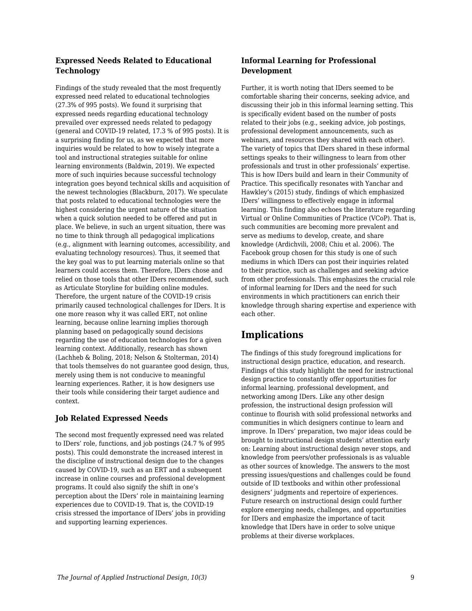### **Expressed Needs Related to Educational Technology**

Findings of the study revealed that the most frequently expressed need related to educational technologies (27.3% of 995 posts). We found it surprising that expressed needs regarding educational technology prevailed over expressed needs related to pedagogy (general and COVID-19 related, 17.3 % of 995 posts). It is a surprising finding for us, as we expected that more inquiries would be related to how to wisely integrate a tool and instructional strategies suitable for online learning environments (Baldwin, 2019). We expected more of such inquiries because successful technology integration goes beyond technical skills and acquisition of the newest technologies (Blackburn, 2017). We speculate that posts related to educational technologies were the highest considering the urgent nature of the situation when a quick solution needed to be offered and put in place. We believe, in such an urgent situation, there was no time to think through all pedagogical implications (e.g., alignment with learning outcomes, accessibility, and evaluating technology resources). Thus, it seemed that the key goal was to put learning materials online so that learners could access them. Therefore, IDers chose and relied on those tools that other IDers recommended, such as Articulate Storyline for building online modules. Therefore, the urgent nature of the COVID-19 crisis primarily caused technological challenges for IDers. It is one more reason why it was called ERT, not online learning, because online learning implies thorough planning based on pedagogically sound decisions regarding the use of education technologies for a given learning context. Additionally, research has shown (Lachheb & Boling, 2018; Nelson & Stolterman, 2014) that tools themselves do not guarantee good design, thus, merely using them is not conducive to meaningful learning experiences. Rather, it is how designers use their tools while considering their target audience and context.

## **Job Related Expressed Needs**

The second most frequently expressed need was related to IDers' role, functions, and job postings (24.7 % of 995 posts). This could demonstrate the increased interest in the discipline of instructional design due to the changes caused by COVID-19, such as an ERT and a subsequent increase in online courses and professional development programs. It could also signify the shift in one's perception about the IDers' role in maintaining learning experiences due to COVID-19. That is, the COVID-19 crisis stressed the importance of IDers' jobs in providing and supporting learning experiences.

### **Informal Learning for Professional Development**

Further, it is worth noting that IDers seemed to be comfortable sharing their concerns, seeking advice, and discussing their job in this informal learning setting. This is specifically evident based on the number of posts related to their jobs (e.g., seeking advice, job postings, professional development announcements, such as webinars, and resources they shared with each other). The variety of topics that IDers shared in these informal settings speaks to their willingness to learn from other professionals and trust in other professionals' expertise. This is how IDers build and learn in their Community of Practice. This specifically resonates with Yanchar and Hawkley's (2015) study, findings of which emphasized IDers' willingness to effectively engage in informal learning. This finding also echoes the literature regarding Virtual or Online Communities of Practice (VCoP). That is, such communities are becoming more prevalent and serve as mediums to develop, create, and share knowledge (Ardichvili, 2008; Chiu et al. 2006). The Facebook group chosen for this study is one of such mediums in which IDers can post their inquiries related to their practice, such as challenges and seeking advice from other professionals. This emphasizes the crucial role of informal learning for IDers and the need for such environments in which practitioners can enrich their knowledge through sharing expertise and experience with each other.

## **Implications**

The findings of this study foreground implications for instructional design practice, education, and research. Findings of this study highlight the need for instructional design practice to constantly offer opportunities for informal learning, professional development, and networking among IDers. Like any other design profession, the instructional design profession will continue to flourish with solid professional networks and communities in which designers continue to learn and improve. In IDers' preparation, two major ideas could be brought to instructional design students' attention early on: Learning about instructional design never stops, and knowledge from peers/other professionals is as valuable as other sources of knowledge. The answers to the most pressing issues/questions and challenges could be found outside of ID textbooks and within other professional designers' judgments and repertoire of experiences. Future research on instructional design could further explore emerging needs, challenges, and opportunities for IDers and emphasize the importance of tacit knowledge that IDers have in order to solve unique problems at their diverse workplaces.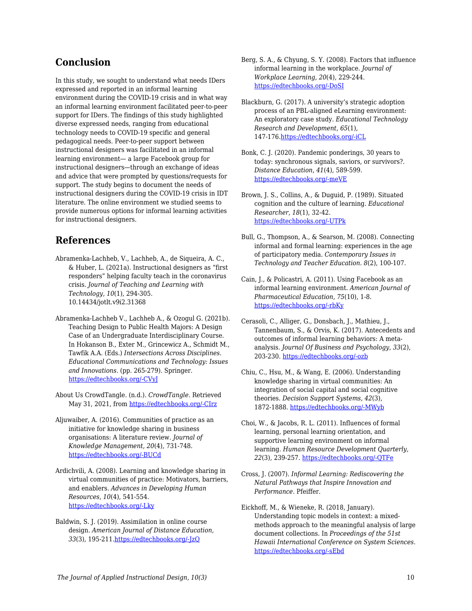## **Conclusion**

In this study, we sought to understand what needs IDers expressed and reported in an informal learning environment during the COVID-19 crisis and in what way an informal learning environment facilitated peer-to-peer support for IDers. The findings of this study highlighted diverse expressed needs, ranging from educational technology needs to COVID-19 specific and general pedagogical needs. Peer-to-peer support between instructional designers was facilitated in an informal learning environment— a large Facebook group for instructional designers—through an exchange of ideas and advice that were prompted by questions/requests for support. The study begins to document the needs of instructional designers during the COVID-19 crisis in IDT literature. The online environment we studied seems to provide numerous options for informal learning activities for instructional designers.

## **References**

- Abramenka-Lachheb, V., Lachheb, A., de Siqueira, A. C., & Huber, L. (2021a). Instructional designers as "first responders" helping faculty teach in the coronavirus crisis. *Journal of Teaching and Learning with Technology, 10*(1), 294-305. 10.14434/jotlt.v9i2.31368
- Abramenka-Lachheb V., Lachheb A., & Ozogul G. (2021b). Teaching Design to Public Health Majors: A Design Case of an Undergraduate Interdisciplinary Course. In Hokanson B., Exter M., Grincewicz A., Schmidt M., Tawfik A.A. (Eds.) *Intersections Across Disciplines. Educational Communications and Technology: Issues and Innovations*. (pp. 265-279). Springer. [https://edtechbooks.org/-CVyJ](https://doi.org/10.1007/978-3-030-53875-0_21)
- About Us CrowdTangle. (n.d.). *CrowdTangle*. Retrieved May 31, 2021, from [https://edtechbooks.org/-CIrz](https://help.crowdtangle.com/en/articles/4201940-about-us)
- Aljuwaiber, A. (2016). Communities of practice as an initiative for knowledge sharing in business organisations: A literature review. *Journal of Knowledge Management, 20*(4)*,* 731-748. [https://edtechbooks.org/-BUCd](https://doi.org/10.1108/JKM-12-2015-0494)
- Ardichvili, A. (2008). Learning and knowledge sharing in virtual communities of practice: Motivators, barriers, and enablers. *Advances in Developing Human Resources, 10*(4), 541-554. [https://edtechbooks.org/-Lky](https://doi.org/10.1177/1523422308319536)
- Baldwin, S. J. (2019). Assimilation in online course design. *American Journal of Distance Education, 33*(3), 195-211.[https://edtechbooks.org/-JzQ](https://doi.org/10.1080/08923647.2019.1610304)
- Berg, S. A., & Chyung, S. Y. (2008). Factors that influence informal learning in the workplace. *Journal of Workplace Learning*, *20*(4), 229-244. [https://edtechbooks.org/-DoSI](https://doi.org/10.1108/13665620810871097)
- Blackburn, G. (2017). A university's strategic adoption process of an PBL-aligned eLearning environment: An exploratory case study. *Educational Technology Research and Development, 65*(1), 147-176[.https://edtechbooks.org/-iCL](https://doi-org.proxyiub.uits.iu.edu/10.1007/s11423-016-94)
- Bonk, C. J. (2020). Pandemic ponderings, 30 years to today: synchronous signals, saviors, or survivors?. *Distance Education*, *41*(4), 589-599. [https://edtechbooks.org/-meVE](https://doi.org/10.1080/01587919.2020.1821610)
- Brown, J. S., Collins, A., & Duguid, P. (1989). Situated cognition and the culture of learning. *Educational Researcher*, *18*(1), 32-42. [https://edtechbooks.org/-UTPk](https://doi.org/10.3102%2F0013189X018001032)
- Bull, G., Thompson, A., & Searson, M. (2008). Connecting informal and formal learning: experiences in the age of participatory media. *Contemporary Issues in Technology and Teacher Education*. *8*(2), 100-107.
- Cain, J., & Policastri, A. (2011). Using Facebook as an informal learning environment. *American Journal of Pharmaceutical Education*, *75*(10), 1-8. [https://edtechbooks.org/-rbKy](https://doi.org/10.5688/ajpe7510207)
- Cerasoli, C., Alliger, G., Donsbach, J., Mathieu, J., Tannenbaum, S., & Orvis, K. (2017). Antecedents and outcomes of informal learning behaviors: A metaanalysis. *Journal Of Business and Psychology*, *33*(2), 203-230. [https://edtechbooks.org/-ozb](https://doi.org/10.1007/s10869-017-9492-y)
- Chiu, C., Hsu, M., & Wang, E. (2006). Understanding knowledge sharing in virtual communities: An integration of social capital and social cognitive theories. *Decision Support Systems, 42*(3), 1872-1888. [https://edtechbooks.org/-MWyb](https://doi.org/10.1016/j.dss.2006.04.001)
- Choi, W., & Jacobs, R. L. (2011). Influences of formal learning, personal learning orientation, and supportive learning environment on informal learning. *Human Resource Development Quarterly, 22*(3), 239-257. [https://edtechbooks.org/-QTFe](https://doi.org/10.1002/hrdq.20078)
- Cross, J. (2007). *Informal Learning: Rediscovering the Natural Pathways that Inspire Innovation and Performance*. Pfeiffer.
- Eickhoff, M., & Wieneke, R. (2018, January). Understanding topic models in context: a mixedmethods approach to the meaningful analysis of large document collections. In *Proceedings of the 51st Hawaii International Conference on System Sciences.* [https://edtechbooks.org/-sEbd](http://hdl.handle.net/10125/50000)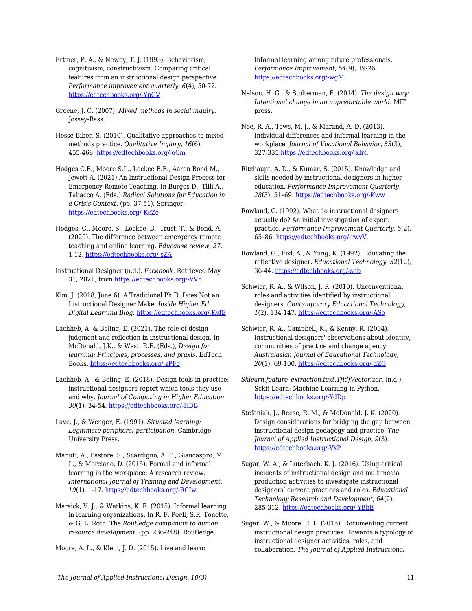Ertmer, P. A., & Newby, T. J. (1993). Behaviorism, cognitivism, constructivism: Comparing critical features from an instructional design perspective. *Performance improvement quarterly*, *6*(4), 50-72. [https://edtechbooks.org/-YpGV](https://doi.org/10.1111/j.1937-8327.1993.tb00605.x)

Greene, J. C. (2007). *Mixed methods in social inquiry*. Jossey-Bass.

Hesse-Biber, S. (2010). Qualitative approaches to mixed methods practice. *Qualitative Inquiry, 16*(6), 455-468. [https://edtechbooks.org/-oCm](https://doi.org/10.1177%2F1077800410364611)

Hodges C.B., Moore S.L., Lockee B.B., Aaron Bond M., Jewett A. (2021) An Instructional Design Process for Emergency Remote Teaching. In Burgos D., Tlili A., Tabacco A. (Eds.) *Radical Solutions for Education in a Crisis Context*. (pp. 37-51). Springer. [https://edtechbooks.org/-KcZe](https://doi.org/10.1007/978-981-15-7869-4_3)

Hodges, C., Moore, S., Lockee, B., Trust, T., & Bond, A. (2020). The difference between emergency remote teaching and online learning. *Educause review*, *27*, 1-12. [https://edtechbooks.org/-sZA](https://er.educause.edu/articles/2020/3/the-difference-between-emergency-remote-teaching-and-online-learning)

Instructional Designer (n.d.). *Facebook*. Retrieved May 31, 2021, from [https://edtechbooks.org/-VVb](https://www.facebook.com/groups/idesigner)

Kim, J. (2018, June 6). A Traditional Ph.D. Does Not an Instructional Designer Make. *Inside Higher Ed Digital Learning Blog*. [https://edtechbooks.org/-KyfE](https://www.insidehighered.com/digital-learning/blogs/technology-and-learning/traditional-phd-does-not-instructional-designer-make)

Lachheb, A. & Boling, E. (2021). The role of design judgment and reflection in instructional design. In McDonald, J.K., & West, R.E. (Eds.), *Design for learning: Principles, processes, and praxis*. EdTech Books. [https://edtechbooks.org/-zPFg](https://edtechbooks.org/id/design_judgment)

Lachheb, A., & Boling, E. (2018). Design tools in practice: instructional designers report which tools they use and why. *Journal of Computing in Higher Education*, *30*(1), 34-54. [https://edtechbooks.org/-HDB](https://doi.org/10.1007/s12528-017-9165-x)

Lave, J., & Wenger, E. (1991). *Situated learning: Legitimate peripheral participation*. Cambridge University Press.

Manuti, A., Pastore, S., Scardigno, A. F., Giancaspro, M. L., & Morciano, D. (2015). Formal and informal learning in the workplace: A research review. *International Journal of Training and Development*, *19*(1), 1-17. [https://edtechbooks.org/-RCIw](https://doi.org/10.1111/ijtd.12044)

Marsick, V. J., & Watkins, K. E. (2015). Informal learning in learning organizations. In R. F. Poell, S.R. Tonette, & G. L. Roth. The *Routledge companion to human resource development*. (pp. 236-248). Routledge.

Moore, A. L., & Klein, J. D. (2015). Live and learn:

Informal learning among future professionals. *Performance Improvement, 54*(9), 19-26. [https://edtechbooks.org/-wgM](https://doi.org/10.1002/pfi.21530)

Nelson, H. G., & Stolterman, E. (2014). *The design way: Intentional change in an unpredictable world*. MIT press.

Noe, R. A., Tews, M. J., & Marand, A. D. (2013). Individual differences and informal learning in the workplace. *Journal of Vocational Behavior*, *83*(3), 327-335[.https://edtechbooks.org/-xIrd](https://doi.org/10.1016/j.jvb.2013.06.009)

Ritzhaupt, A. D., & Kumar, S. (2015). Knowledge and skills needed by instructional designers in higher education. *Performance Improvement Quarterly, 28*(3), 51–69. [https://edtechbooks.org/-Kww](https://doi.org/10.1002/piq.21196)

Rowland, G. (1992). What do instructional designers actually do? An initial investigation of expert practice. *Performance Improvement Quarterly, 5*(2), 65–86. [https://edtechbooks.org/-rwvV.](https://doi.org/10.1111/j.1937-8327.1992.tb00546.x)

Rowland, G., Fixl, A., & Yung, K. (1992). Educating the reflective designer. *Educational Technology*, *32*(12), 36-44. [https://edtechbooks.org/-snb](https://www.jstor.org/stable/44425566)

Schwier, R. A., & Wilson, J. R. (2010). Unconventional roles and activities identified by instructional designers. *Contemporary Educational Technology*, *1*(2), 134-147. [https://edtechbooks.org/-ASo](https://doi.org/10.30935/cedtech/5970)

Schwier, R. A., Campbell, K., & Kenny, R. (2004). Instructional designers' observations about identity, communities of practice and change agency. *Australasian Journal of Educational Technology, 20*(1). 69-100. [https://edtechbooks.org/-dZG](https://doi.org/10.14742/ajet.1368)

*Sklearn.feature\_extraction.text.TfidfVectorizer*. (n.d.). Sckit-Learn: Machine Learning in Python. [https://edtechbooks.org/-YdDp](https://scikit-learn.org/stable/modules/generated/sklearn.feature_extraction.text.TfidfVectorizer.html)

Stefaniak, J., Reese, R. M., & McDonald, J. K. (2020). Design considerations for bridging the gap between instructional design pedagogy and practice. *The Journal of Applied Instructional Design*, *9*(3). [https://edtechbooks.org/-VxP](https://dx.doi.org/10.51869/93jsrmrjkmd)

Sugar, W. A., & Luterbach, K. J. (2016). Using critical incidents of instructional design and multimedia production activities to investigate instructional designers' current practices and roles. *Educational Technology Research and Development*, *64*(2), 285-312. [https://edtechbooks.org/-YBbE](https://doi.org/10.1007/s11423-015-9414-5)

Sugar, W., & Moore, R. L. (2015). Documenting current instructional design practices: Towards a typology of instructional designer activities, roles, and collaboration. *The Journal of Applied Instructional*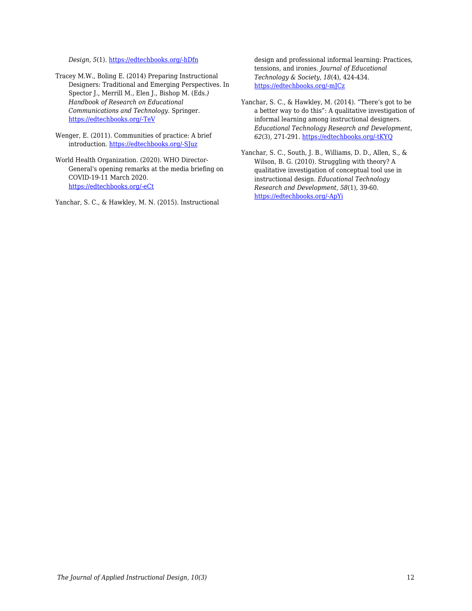*Design, 5*(1). [https://edtechbooks.org/-hDfn](https://digitalcommons.odu.edu/stemps_fac_pubs/104/)

Tracey M.W., Boling E. (2014) Preparing Instructional Designers: Traditional and Emerging Perspectives. In Spector J., Merrill M., Elen J., Bishop M. (Eds*.) Handbook of Research on Educational Communications and Technology*. Springer. [https://edtechbooks.org/-TeV](https://doi.org/10.1007/978-1-4614-3185-5_52)

Wenger, E. (2011). Communities of practice: A brief introduction. [https://edtechbooks.org/-SJuz](http://hdl.handle.net/1794/11736)

World Health Organization. (2020). WHO Director-General's opening remarks at the media briefing on COVID-19-11 March 2020. [https://edtechbooks.org/-eCt](https://www.who.int/director-general/speeches/detail/who-director-general-s-opening-remarks-at-the-media-briefing-on-covid-19---11-march-2020)

Yanchar, S. C., & Hawkley, M. N. (2015). Instructional

design and professional informal learning: Practices, tensions, and ironies. *Journal of Educational Technology & Society*, *18*(4), 424-434. [https://edtechbooks.org/-mJCz](https://www.jstor.org/stable/jeductechsoci.18.4.424)

- Yanchar, S. C., & Hawkley, M. (2014). "There's got to be a better way to do this": A qualitative investigation of informal learning among instructional designers. *Educational Technology Research and Development, 62*(3), 271-291. [https://edtechbooks.org/-tKYQ](https://doi.org/10.1007/s11423-014-9336-7)
- Yanchar, S. C., South, J. B., Williams, D. D., Allen, S., & Wilson, B. G. (2010). Struggling with theory? A qualitative investigation of conceptual tool use in instructional design. *Educational Technology Research and Development, 58*(1), 39-60. [https://edtechbooks.org/-ApYi](https://doi.org/10.1007/s11423-009-9129-6)